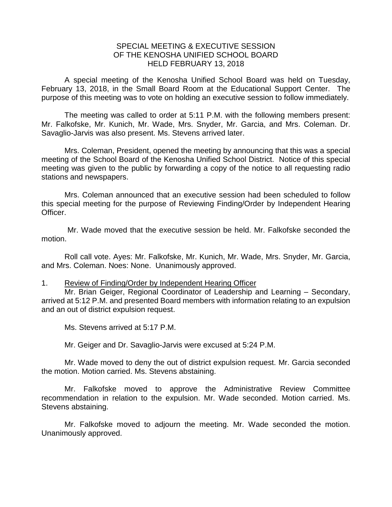## SPECIAL MEETING & EXECUTIVE SESSION OF THE KENOSHA UNIFIED SCHOOL BOARD HELD FEBRUARY 13, 2018

A special meeting of the Kenosha Unified School Board was held on Tuesday, February 13, 2018, in the Small Board Room at the Educational Support Center. The purpose of this meeting was to vote on holding an executive session to follow immediately.

The meeting was called to order at 5:11 P.M. with the following members present: Mr. Falkofske, Mr. Kunich, Mr. Wade, Mrs. Snyder, Mr. Garcia, and Mrs. Coleman. Dr. Savaglio-Jarvis was also present. Ms. Stevens arrived later.

Mrs. Coleman, President, opened the meeting by announcing that this was a special meeting of the School Board of the Kenosha Unified School District. Notice of this special meeting was given to the public by forwarding a copy of the notice to all requesting radio stations and newspapers.

Mrs. Coleman announced that an executive session had been scheduled to follow this special meeting for the purpose of Reviewing Finding/Order by Independent Hearing Officer.

Mr. Wade moved that the executive session be held. Mr. Falkofske seconded the motion.

Roll call vote. Ayes: Mr. Falkofske, Mr. Kunich, Mr. Wade, Mrs. Snyder, Mr. Garcia, and Mrs. Coleman. Noes: None. Unanimously approved.

## 1. Review of Finding/Order by Independent Hearing Officer

Mr. Brian Geiger, Regional Coordinator of Leadership and Learning – Secondary, arrived at 5:12 P.M. and presented Board members with information relating to an expulsion and an out of district expulsion request.

Ms. Stevens arrived at 5:17 P.M.

Mr. Geiger and Dr. Savaglio-Jarvis were excused at 5:24 P.M.

Mr. Wade moved to deny the out of district expulsion request. Mr. Garcia seconded the motion. Motion carried. Ms. Stevens abstaining.

Mr. Falkofske moved to approve the Administrative Review Committee recommendation in relation to the expulsion. Mr. Wade seconded. Motion carried. Ms. Stevens abstaining.

Mr. Falkofske moved to adjourn the meeting. Mr. Wade seconded the motion. Unanimously approved.